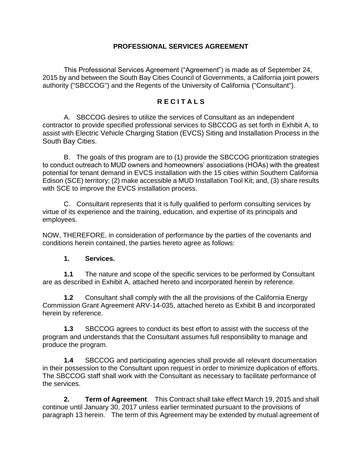## **PROFESSIONAL SERVICES AGREEMENT**

This Professional Services Agreement ("Agreement") is made as of September 24, 2015 by and between the South Bay Cities Council of Governments, a California joint powers authority ("SBCCOG") and the Regents of the University of California ("Consultant").

# **R E C I T A L S**

A. SBCCOG desires to utilize the services of Consultant as an independent contractor to provide specified professional services to SBCCOG as set forth in Exhibit A, to assist with Electric Vehicle Charging Station (EVCS) Siting and Installation Process in the South Bay Cities.

B. The goals of this program are to (1) provide the SBCCOG prioritization strategies to conduct outreach to MUD owners and homeowners' associations (HOAs) with the greatest potential for tenant demand in EVCS installation with the 15 cities within Southern California Edison (SCE) territory; (2) make accessible a MUD Installation Tool Kit; and, (3) share results with SCE to improve the EVCS installation process.

C. Consultant represents that it is fully qualified to perform consulting services by virtue of its experience and the training, education, and expertise of its principals and employees.

NOW, THEREFORE, in consideration of performance by the parties of the covenants and conditions herein contained, the parties hereto agree as follows:

## **1. Services.**

**1.1** The nature and scope of the specific services to be performed by Consultant are as described in Exhibit A, attached hereto and incorporated herein by reference.

**1.2** Consultant shall comply with the all the provisions of the California Energy Commission Grant Agreement ARV-14-035, attached hereto as Exhibit B and incorporated herein by reference.

**1.3** SBCCOG agrees to conduct its best effort to assist with the success of the program and understands that the Consultant assumes full responsibility to manage and produce the program.

**1.4** SBCCOG and participating agencies shall provide all relevant documentation in their possession to the Consultant upon request in order to minimize duplication of efforts. The SBCCOG staff shall work with the Consultant as necessary to facilitate performance of the services.

**2. Term of Agreement**. This Contract shall take effect March 19, 2015 and shall continue until January 30, 2017 unless earlier terminated pursuant to the provisions of paragraph 13 herein. The term of this Agreement may be extended by mutual agreement of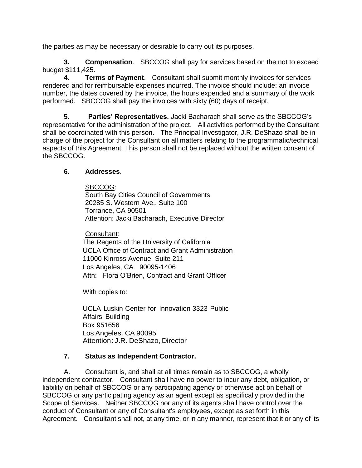the parties as may be necessary or desirable to carry out its purposes.

**3. Compensation**. SBCCOG shall pay for services based on the not to exceed budget \$111,425.

**4. Terms of Payment**. Consultant shall submit monthly invoices for services rendered and for reimbursable expenses incurred. The invoice should include: an invoice number, the dates covered by the invoice, the hours expended and a summary of the work performed. SBCCOG shall pay the invoices with sixty (60) days of receipt.

**5. Parties' Representatives.** Jacki Bacharach shall serve as the SBCCOG's representative for the administration of the project. All activities performed by the Consultant shall be coordinated with this person. The Principal Investigator, J.R. DeShazo shall be in charge of the project for the Consultant on all matters relating to the programmatic/technical aspects of this Agreement. This person shall not be replaced without the written consent of the SBCCOG.

## **6. Addresses**.

SBCCOG: South Bay Cities Council of Governments 20285 S. Western Ave., Suite 100 Torrance, CA 90501 Attention: Jacki Bacharach, Executive Director

Consultant:

The Regents of the University of California UCLA Office of Contract and Grant Administration 11000 Kinross Avenue, Suite 211 Los Angeles, CA 90095-1406 Attn: Flora O'Brien, Contract and Grant Officer

With copies to:

UCLA Luskin Center for Innovation 3323 Public Affairs Building Box 951656 Los Angeles, CA 90095 Attention: J.R. DeShazo, Director

# **7. Status as Independent Contractor.**

A. Consultant is, and shall at all times remain as to SBCCOG, a wholly independent contractor. Consultant shall have no power to incur any debt, obligation, or liability on behalf of SBCCOG or any participating agency or otherwise act on behalf of SBCCOG or any participating agency as an agent except as specifically provided in the Scope of Services. Neither SBCCOG nor any of its agents shall have control over the conduct of Consultant or any of Consultant's employees, except as set forth in this Agreement. Consultant shall not, at any time, or in any manner, represent that it or any of its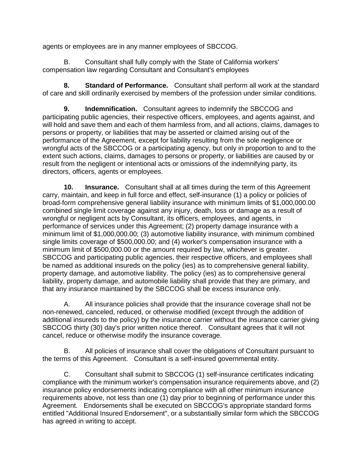agents or employees are in any manner employees of SBCCOG.

B. Consultant shall fully comply with the State of California workers' compensation law regarding Consultant and Consultant's employees

**8. Standard of Performance.** Consultant shall perform all work at the standard of care and skill ordinarily exercised by members of the profession under similar conditions.

**9. Indemnification.** Consultant agrees to indemnify the SBCCOG and participating public agencies, their respective officers, employees, and agents against, and will hold and save them and each of them harmless from, and all actions, claims, damages to persons or property, or liabilities that may be asserted or claimed arising out of the performance of the Agreement, except for liability resulting from the sole negligence or wrongful acts of the SBCCOG or a participating agency, but only in proportion to and to the extent such actions, claims, damages to persons or property, or liabilities are caused by or result from the negligent or intentional acts or omissions of the indemnifying party, its directors, officers, agents or employees.

**10. Insurance.** Consultant shall at all times during the term of this Agreement carry, maintain, and keep in full force and effect, self-insurance (1) a policy or policies of broad-form comprehensive general liability insurance with minimum limits of \$1,000,000.00 combined single limit coverage against any injury, death, loss or damage as a result of wrongful or negligent acts by Consultant, its officers, employees, and agents, in performance of services under this Agreement; (2) property damage insurance with a minimum limit of \$1,000,000.00; (3) automotive liability insurance, with minimum combined single limits coverage of \$500,000.00; and (4) worker's compensation insurance with a minimum limit of \$500,000.00 or the amount required by law, whichever is greater. SBCCOG and participating public agencies, their respective officers, and employees shall be named as additional insureds on the policy (ies) as to comprehensive general liability, property damage, and automotive liability. The policy (ies) as to comprehensive general liability, property damage, and automobile liability shall provide that they are primary, and that any insurance maintained by the SBCCOG shall be excess insurance only.

A. All insurance policies shall provide that the insurance coverage shall not be non-renewed, canceled, reduced, or otherwise modified (except through the addition of additional insureds to the policy) by the insurance carrier without the insurance carrier giving SBCCOG thirty (30) day's prior written notice thereof. Consultant agrees that it will not cancel, reduce or otherwise modify the insurance coverage.

B. All policies of insurance shall cover the obligations of Consultant pursuant to the terms of this Agreement. Consultant is a self-insured governmental entity.

C. Consultant shall submit to SBCCOG (1) self-insurance certificates indicating compliance with the minimum worker's compensation insurance requirements above, and (2) insurance policy endorsements indicating compliance with all other minimum insurance requirements above, not less than one (1) day prior to beginning of performance under this Agreement. Endorsements shall be executed on SBCCOG's appropriate standard forms entitled "Additional Insured Endorsement", or a substantially similar form which the SBCCOG has agreed in writing to accept.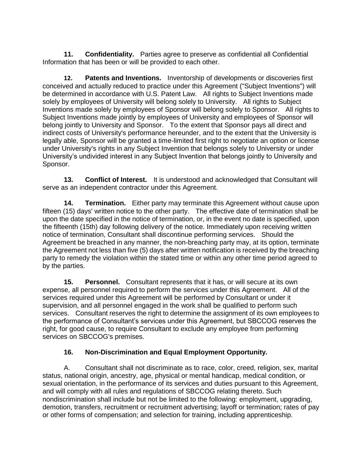**11. Confidentiality.** Parties agree to preserve as confidential all Confidential Information that has been or will be provided to each other.

**12. Patents and Inventions.** Inventorship of developments or discoveries first conceived and actually reduced to practice under this Agreement ("Subject Inventions") will be determined in accordance with U.S. Patent Law. All rights to Subject Inventions made solely by employees of University will belong solely to University. All rights to Subject Inventions made solely by employees of Sponsor will belong solely to Sponsor. All rights to Subject Inventions made jointly by employees of University and employees of Sponsor will belong jointly to University and Sponsor. To the extent that Sponsor pays all direct and indirect costs of University's performance hereunder, and to the extent that the University is legally able, Sponsor will be granted a time-limited first right to negotiate an option or license under University's rights in any Subject Invention that belongs solely to University or under University's undivided interest in any Subject Invention that belongs jointly to University and Sponsor.

**13. Conflict of Interest.** It is understood and acknowledged that Consultant will serve as an independent contractor under this Agreement.

**14. Termination.** Either party may terminate this Agreement without cause upon fifteen (15) days' written notice to the other party. The effective date of termination shall be upon the date specified in the notice of termination, or, in the event no date is specified, upon the fifteenth (15th) day following delivery of the notice. Immediately upon receiving written notice of termination, Consultant shall discontinue performing services. Should the Agreement be breached in any manner, the non-breaching party may, at its option, terminate the Agreement not less than five (5) days after written notification is received by the breaching party to remedy the violation within the stated time or within any other time period agreed to by the parties.

**15. Personnel.** Consultant represents that it has, or will secure at its own expense, all personnel required to perform the services under this Agreement. All of the services required under this Agreement will be performed by Consultant or under it supervision, and all personnel engaged in the work shall be qualified to perform such services. Consultant reserves the right to determine the assignment of its own employees to the performance of Consultant's services under this Agreement, but SBCCOG reserves the right, for good cause, to require Consultant to exclude any employee from performing services on SBCCOG's premises.

# **16. Non-Discrimination and Equal Employment Opportunity.**

A. Consultant shall not discriminate as to race, color, creed, religion, sex, marital status, national origin, ancestry, age, physical or mental handicap, medical condition, or sexual orientation, in the performance of its services and duties pursuant to this Agreement, and will comply with all rules and regulations of SBCCOG relating thereto. Such nondiscrimination shall include but not be limited to the following: employment, upgrading, demotion, transfers, recruitment or recruitment advertising; layoff or termination; rates of pay or other forms of compensation; and selection for training, including apprenticeship.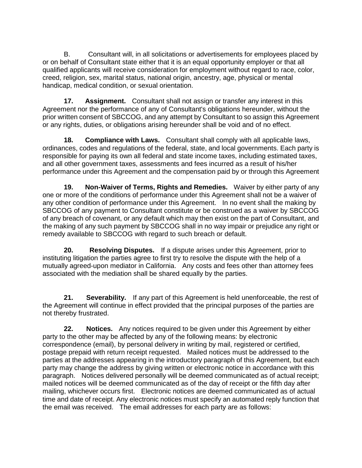B. Consultant will, in all solicitations or advertisements for employees placed by or on behalf of Consultant state either that it is an equal opportunity employer or that all qualified applicants will receive consideration for employment without regard to race, color, creed, religion, sex, marital status, national origin, ancestry, age, physical or mental handicap, medical condition, or sexual orientation.

**17. Assignment.** Consultant shall not assign or transfer any interest in this Agreement nor the performance of any of Consultant's obligations hereunder, without the prior written consent of SBCCOG, and any attempt by Consultant to so assign this Agreement or any rights, duties, or obligations arising hereunder shall be void and of no effect.

**18. Compliance with Laws.** Consultant shall comply with all applicable laws, ordinances, codes and regulations of the federal, state, and local governments. Each party is responsible for paying its own all federal and state income taxes, including estimated taxes, and all other government taxes, assessments and fees incurred as a result of his/her performance under this Agreement and the compensation paid by or through this Agreement

**19. Non-Waiver of Terms, Rights and Remedies.** Waiver by either party of any one or more of the conditions of performance under this Agreement shall not be a waiver of any other condition of performance under this Agreement. In no event shall the making by SBCCOG of any payment to Consultant constitute or be construed as a waiver by SBCCOG of any breach of covenant, or any default which may then exist on the part of Consultant, and the making of any such payment by SBCCOG shall in no way impair or prejudice any right or remedy available to SBCCOG with regard to such breach or default.

**20. Resolving Disputes.** If a dispute arises under this Agreement, prior to instituting litigation the parties agree to first try to resolve the dispute with the help of a mutually agreed-upon mediator in California. Any costs and fees other than attorney fees associated with the mediation shall be shared equally by the parties.

**21. Severability.** If any part of this Agreement is held unenforceable, the rest of the Agreement will continue in effect provided that the principal purposes of the parties are not thereby frustrated.

**22. Notices.** Any notices required to be given under this Agreement by either party to the other may be affected by any of the following means: by electronic correspondence (email), by personal delivery in writing by mail, registered or certified, postage prepaid with return receipt requested. Mailed notices must be addressed to the parties at the addresses appearing in the introductory paragraph of this Agreement, but each party may change the address by giving written or electronic notice in accordance with this paragraph. Notices delivered personally will be deemed communicated as of actual receipt; mailed notices will be deemed communicated as of the day of receipt or the fifth day after mailing, whichever occurs first. Electronic notices are deemed communicated as of actual time and date of receipt. Any electronic notices must specify an automated reply function that the email was received. The email addresses for each party are as follows: